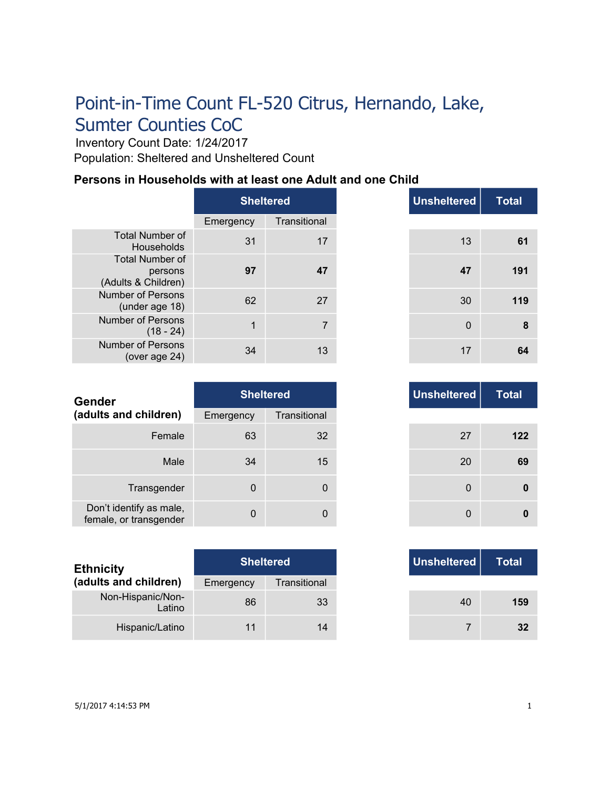Inventory Count Date: 1/24/2017 Population: Sheltered and Unsheltered Count

# **Persons in Households with at least one Adult and one Child**

|                                                          | <b>Sheltered</b> |              |  |
|----------------------------------------------------------|------------------|--------------|--|
|                                                          | Emergency        | Transitional |  |
| <b>Total Number of</b><br>Households                     | 31               | 17           |  |
| <b>Total Number of</b><br>persons<br>(Adults & Children) | 97               | 47           |  |
| <b>Number of Persons</b><br>(under age 18)               | 62               | 27           |  |
| <b>Number of Persons</b><br>$(18 - 24)$                  | 1                | 7            |  |
| <b>Number of Persons</b><br>(over age 24)                | 34               | 13           |  |

|              | <b>Sheltered</b> |
|--------------|------------------|
| าcy          | Transitional     |
| 31           | 17               |
| 97           | 47               |
| 62           | 27               |
| $\mathbf{1}$ | $\overline{7}$   |
| 34           | 13               |

| Gender                                            | <b>Sheltered</b> |              |
|---------------------------------------------------|------------------|--------------|
| (adults and children)                             | Emergency        | Transitional |
| Female                                            | 63               | 32           |
| Male                                              | 34               | 15           |
| Transgender                                       | $\Omega$         | 0            |
| Don't identify as male,<br>female, or transgender | $\Omega$         | 0            |

| <b>Ethnicity</b>            | <b>Sheltered</b> |              | Unsheltered |
|-----------------------------|------------------|--------------|-------------|
| (adults and children)       | Emergency        | Transitional |             |
| Non-Hispanic/Non-<br>Latino | 86               | 33           | 40          |
| Hispanic/Latino             | 11               | 14           |             |

| <b>Unsheltered</b> | <b>Sheltered</b> |    |
|--------------------|------------------|----|
|                    | Transitional     |    |
| 27                 | 32               |    |
| 20                 | 15               | 34 |
| $\mathbf 0$        | $\mathbf 0$      |    |
| 0                  | 0                | O  |

|     | <b>Sheltered</b> |
|-----|------------------|
| ٦CV | Transitional     |
| 86  | 33               |
| 11  | 14               |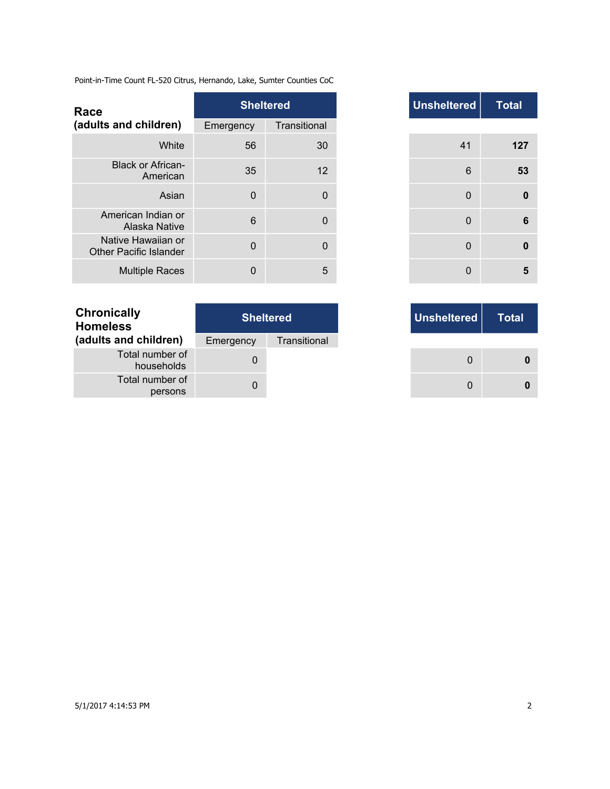| Race                                                |             | <b>Sheltered</b> | <b>Unsheltered</b> |
|-----------------------------------------------------|-------------|------------------|--------------------|
| (adults and children)                               | Emergency   | Transitional     |                    |
| White                                               | 56          | 30               | 41                 |
| <b>Black or African-</b><br>American                | 35          | 12               | 6                  |
| Asian                                               | $\Omega$    | $\mathbf 0$      | $\Omega$           |
| American Indian or<br>Alaska Native                 | 6           | $\mathbf 0$      | $\mathbf{0}$       |
| Native Hawaiian or<br><b>Other Pacific Islander</b> | $\mathbf 0$ | $\mathbf 0$      | $\mathbf{0}$       |
| <b>Multiple Races</b>                               | 0           | 5                | $\Omega$           |

| <b>Chronically</b><br><b>Homeless</b> | <b>Sheltered</b> |              |  |  |
|---------------------------------------|------------------|--------------|--|--|
| (adults and children)                 | Emergency        | Transitional |  |  |
| Total number of<br>households         |                  |              |  |  |
| Total number of<br>persons            |                  |              |  |  |

| <b>Total</b> | <b>Unsheltered</b> |              | <b>Sheltered</b> |                |
|--------------|--------------------|--------------|------------------|----------------|
|              |                    |              | Transitional     | าcy            |
|              | 41                 | 30           |                  | 56             |
|              | $6\phantom{1}$     | 12           |                  | 35             |
|              | 0                  | 0            |                  | $\Omega$       |
|              | 0                  | $\mathbf{0}$ |                  | $6\phantom{1}$ |
|              | 0                  | $\mathbf{0}$ |                  | $\mathbf{0}$   |
|              | 0                  | 5            |                  | 0              |

|     | <b>Sheltered</b> |
|-----|------------------|
| าcy | Transitional     |
| 0   |                  |
| 0   |                  |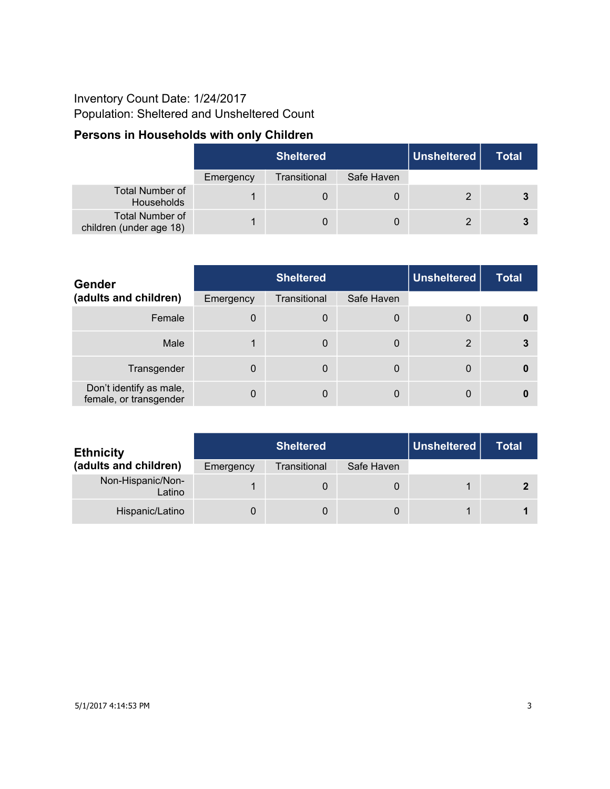### Inventory Count Date: 1/24/2017 Population: Sheltered and Unsheltered Count

# **Persons in Households with only Children**

|                                                   | <b>Sheltered</b> |              |            | Unsheltered | <b>Total</b> |
|---------------------------------------------------|------------------|--------------|------------|-------------|--------------|
|                                                   | Emergency        | Transitional | Safe Haven |             |              |
| <b>Total Number of</b><br>Households              |                  | 0            | 0          |             | 3            |
| <b>Total Number of</b><br>children (under age 18) |                  | 0            | 0          |             | 3            |

| <b>Gender</b>                                     | <b>Sheltered</b> |              |            | <b>Unsheltered</b> | <b>Total</b> |
|---------------------------------------------------|------------------|--------------|------------|--------------------|--------------|
| (adults and children)                             | Emergency        | Transitional | Safe Haven |                    |              |
| Female                                            | $\Omega$         | 0            | 0          | 0                  |              |
| Male                                              |                  | $\mathbf 0$  | 0          | 2                  | 3            |
| Transgender                                       | 0                | $\mathbf 0$  | 0          | 0                  |              |
| Don't identify as male,<br>female, or transgender | $\mathbf 0$      | $\mathbf 0$  | 0          | 0                  |              |

| <b>Ethnicity</b>            | <b>Sheltered</b> |              |            | Unsheltered | <b>Total</b> |
|-----------------------------|------------------|--------------|------------|-------------|--------------|
| (adults and children)       | Emergency        | Transitional | Safe Haven |             |              |
| Non-Hispanic/Non-<br>Latino |                  | O            | 0          |             |              |
| Hispanic/Latino             |                  |              |            |             |              |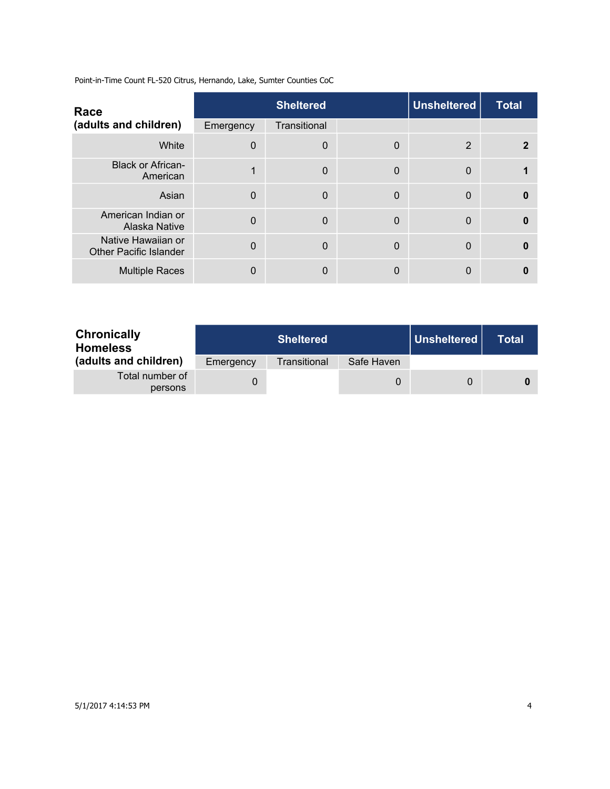| Race                                                |             | <b>Sheltered</b> |   | <b>Unsheltered</b> | <b>Total</b> |
|-----------------------------------------------------|-------------|------------------|---|--------------------|--------------|
| (adults and children)                               | Emergency   | Transitional     |   |                    |              |
| White                                               | 0           | $\mathbf 0$      | 0 | 2                  |              |
| <b>Black or African-</b><br>American                | $\mathbf 1$ | $\mathbf 0$      | 0 | $\Omega$           |              |
| Asian                                               | 0           | $\Omega$         | 0 | $\mathbf{0}$       | $\Omega$     |
| American Indian or<br><b>Alaska Native</b>          | $\Omega$    | $\Omega$         | 0 | $\mathbf{0}$       | $\Omega$     |
| Native Hawaiian or<br><b>Other Pacific Islander</b> | $\Omega$    | $\overline{0}$   | 0 | $\mathbf{0}$       | $\Omega$     |
| <b>Multiple Races</b>                               | 0           | $\mathbf{0}$     | 0 | 0                  | Ω            |

| <b>Chronically</b><br><b>Homeless</b> |           | <b>Sheltered</b> |            |   | Total |
|---------------------------------------|-----------|------------------|------------|---|-------|
| (adults and children)                 | Emergency | Transitional     | Safe Haven |   |       |
| Total number of<br>persons            |           |                  | 0          | 0 |       |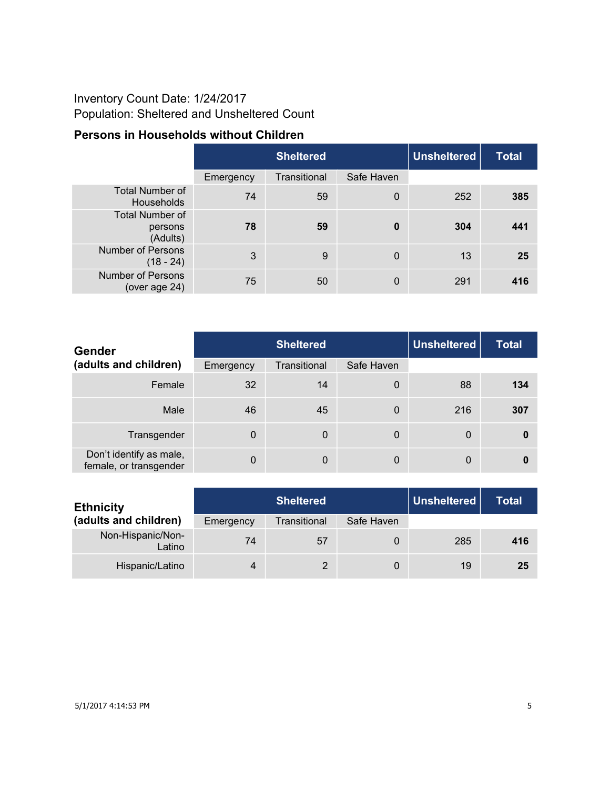### Inventory Count Date: 1/24/2017 Population: Sheltered and Unsheltered Count

#### **Persons in Households without Children**

|                                               |           | <b>Sheltered</b> |                |     | <b>Total</b> |
|-----------------------------------------------|-----------|------------------|----------------|-----|--------------|
|                                               | Emergency | Transitional     | Safe Haven     |     |              |
| <b>Total Number of</b><br><b>Households</b>   | 74        | 59               | $\mathbf 0$    | 252 | 385          |
| <b>Total Number of</b><br>persons<br>(Adults) | 78        | 59               | $\mathbf 0$    | 304 | 441          |
| <b>Number of Persons</b><br>$(18 - 24)$       | 3         | 9                | $\overline{0}$ | 13  | 25           |
| <b>Number of Persons</b><br>(over age 24)     | 75        | 50               | $\mathbf 0$    | 291 | 416          |

| <b>Gender</b>                                     |             | <b>Sheltered</b> |             |              | <b>Total</b> |
|---------------------------------------------------|-------------|------------------|-------------|--------------|--------------|
| (adults and children)                             | Emergency   | Transitional     | Safe Haven  |              |              |
| Female                                            | 32          | 14               | 0           | 88           | 134          |
| Male                                              | 46          | 45               | 0           | 216          | 307          |
| Transgender                                       | $\Omega$    | $\mathbf 0$      | $\mathbf 0$ | $\mathbf{0}$ | 0            |
| Don't identify as male,<br>female, or transgender | $\mathbf 0$ | $\mathbf 0$      | 0           | 0            | 0            |

| <b>Ethnicity</b>            |           | Unsheltered<br><b>Sheltered</b> |            |     | <b>Total</b> |
|-----------------------------|-----------|---------------------------------|------------|-----|--------------|
| (adults and children)       | Emergency | Transitional                    | Safe Haven |     |              |
| Non-Hispanic/Non-<br>Latino | 74        | 57                              | 0          | 285 | 416          |
| Hispanic/Latino             | $\Delta$  | 2                               | 0          | 19  | 25           |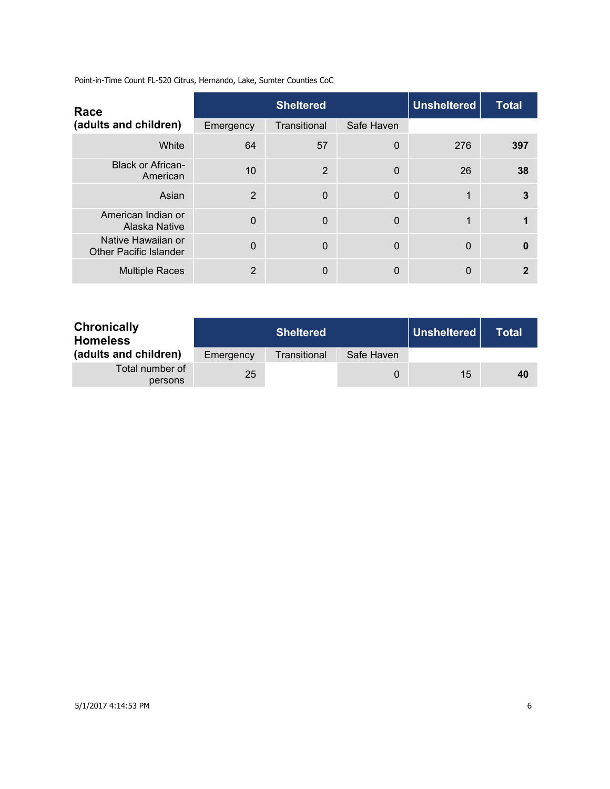| Race                                                |                | <b>Sheltered</b> | <b>Unsheltered</b> | <b>Total</b> |     |
|-----------------------------------------------------|----------------|------------------|--------------------|--------------|-----|
| (adults and children)                               | Emergency      | Transitional     | Safe Haven         |              |     |
| White                                               | 64             | 57               | 0                  | 276          | 397 |
| <b>Black or African-</b><br>American                | 10             | 2                | 0                  | 26           | 38  |
| Asian                                               | $\overline{2}$ | $\mathbf 0$      | 0                  | 1            | 3   |
| American Indian or<br>Alaska Native                 | $\Omega$       | $\Omega$         | 0                  | $\mathbf 1$  |     |
| Native Hawaiian or<br><b>Other Pacific Islander</b> | $\Omega$       | $\Omega$         | 0                  | $\Omega$     | 0   |
| <b>Multiple Races</b>                               | 2              | $\mathbf{0}$     | 0                  | 0            |     |

| <b>Chronically</b><br><b>Homeless</b> |           | <b>Sheltered</b> |            | Unsheltered | Total |
|---------------------------------------|-----------|------------------|------------|-------------|-------|
| (adults and children)                 | Emergency | Transitional     | Safe Haven |             |       |
| Total number of<br>persons            | 25        |                  | 0          | 15          | 40    |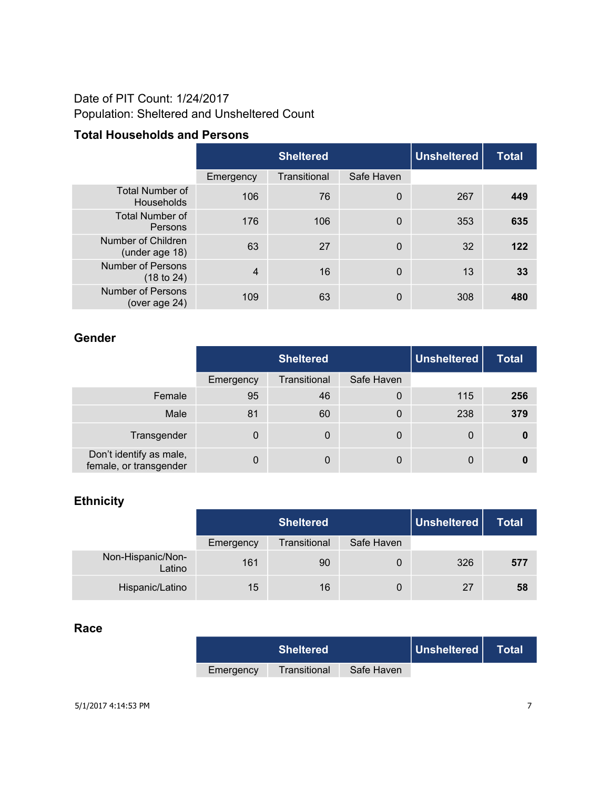#### Date of PIT Count: 1/24/2017 Population: Sheltered and Unsheltered Count

#### **Total Households and Persons**

|                                           | <b>Sheltered</b> |              |                | <b>Unsheltered</b> | <b>Total</b> |
|-------------------------------------------|------------------|--------------|----------------|--------------------|--------------|
|                                           | Emergency        | Transitional | Safe Haven     |                    |              |
| <b>Total Number of</b><br>Households      | 106              | 76           | $\mathbf 0$    | 267                | 449          |
| <b>Total Number of</b><br>Persons         | 176              | 106          | $\mathbf 0$    | 353                | 635          |
| Number of Children<br>(under age 18)      | 63               | 27           | $\mathbf 0$    | 32                 | 122          |
| <b>Number of Persons</b><br>(18 to 24)    | $\overline{4}$   | 16           | $\overline{0}$ | 13                 | 33           |
| <b>Number of Persons</b><br>(over age 24) | 109              | 63           | 0              | 308                | 480          |

#### **Gender**

|                                                   | <b>Sheltered</b> |              |            | Unsheltered | <b>Total</b> |
|---------------------------------------------------|------------------|--------------|------------|-------------|--------------|
|                                                   | Emergency        | Transitional | Safe Haven |             |              |
| Female                                            | 95               | 46           | 0          | 115         | 256          |
| Male                                              | 81               | 60           | 0          | 238         | 379          |
| Transgender                                       | 0                | 0            | 0          | 0           | 0            |
| Don't identify as male,<br>female, or transgender | 0                | $\Omega$     | 0          | 0           |              |

#### **Ethnicity**

|                             | <b>Sheltered</b> |              |            | Unsheltered | <b>Total</b> |
|-----------------------------|------------------|--------------|------------|-------------|--------------|
|                             | Emergency        | Transitional | Safe Haven |             |              |
| Non-Hispanic/Non-<br>Latino | 161              | 90           | 0          | 326         | 577          |
| Hispanic/Latino             | 15               | 16           | 0          | 27          | 58           |

#### **Race**

|           | <b>Sheltered</b> |            | Unsheltered | N Total! |
|-----------|------------------|------------|-------------|----------|
| Emergency | Transitional     | Safe Haven |             |          |